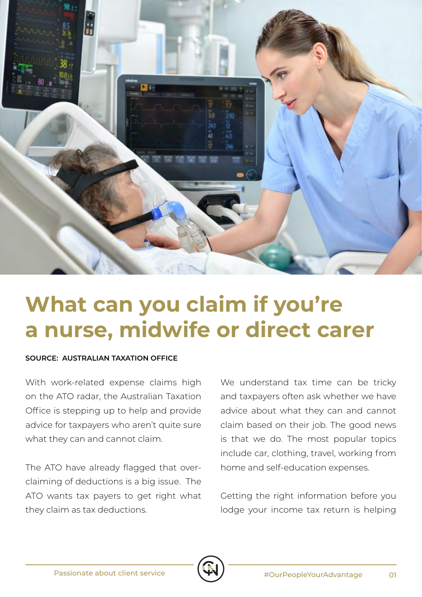

# **What can you claim if you're a nurse, midwife or direct carer**

#### **SOURCE: AUSTRALIAN TAXATION OFFICE**

With work-related expense claims high on the ATO radar, the Australian Taxation Office is stepping up to help and provide advice for taxpayers who aren't quite sure what they can and cannot claim.

The ATO have already flagged that overclaiming of deductions is a big issue. The ATO wants tax payers to get right what they claim as tax deductions.

We understand tax time can be tricky and taxpayers often ask whether we have advice about what they can and cannot claim based on their job. The good news is that we do. The most popular topics include car, clothing, travel, working from home and self-education expenses.

Getting the right information before you lodge your income tax return is helping